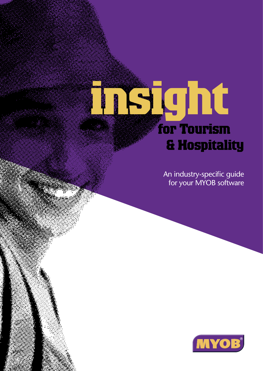# **insight for Tourism & Hospitality**

An industry-specific guide for your MYOB software

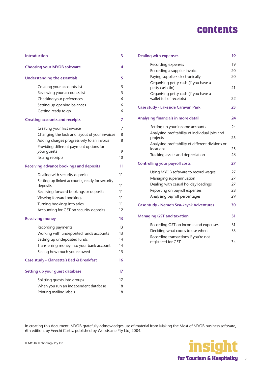# **contents**

| <b>Introduction</b>                                        |    |  |
|------------------------------------------------------------|----|--|
| <b>Choosing your MYOB software</b>                         | 4  |  |
| <b>Understanding the essentials</b>                        | 5  |  |
| Creating your accounts list                                | 5  |  |
| Reviewing your accounts list                               | 5  |  |
| Checking your preferences                                  | 6  |  |
| Setting up opening balances                                | 6  |  |
| Getting ready to go                                        | 6  |  |
| <b>Creating accounts and receipts</b>                      | 7  |  |
| Creating your first invoice                                | 7  |  |
| Changing the look and layout of your invoices              | 8  |  |
| Adding charges progressively to an invoice                 | 8  |  |
| Providing different payment options for                    |    |  |
| your guests                                                | 9  |  |
| Issuing receipts                                           | 10 |  |
| <b>Receiving advance bookings and deposits</b>             | 11 |  |
| Dealing with security deposits                             | 11 |  |
| Setting up linked accounts, ready for security<br>deposits | 11 |  |
| Receiving forward bookings or deposits                     | 11 |  |
| Viewing forward bookings                                   | 11 |  |
| Turning bookings into sales                                | 11 |  |
| Accounting for GST on security deposits                    | 12 |  |
| <b>Receiving money</b>                                     | 13 |  |
| Recording payments                                         | 13 |  |
| Working with undeposited funds accounts                    | 13 |  |
| Setting up undeposited funds                               | 14 |  |
| Transferring money into your bank account                  | 14 |  |
| Seeing how much you're owed                                | 15 |  |
| Case study - Clancette's Bed & Breakfast                   | 16 |  |
| Setting up your quest database                             | 17 |  |
| Splitting guests into groups                               | 17 |  |
| When you run an independent database                       | 18 |  |
| Printing mailing labels                                    | 18 |  |
|                                                            |    |  |

| <b>Dealing with expenses</b>                                     | 19 |
|------------------------------------------------------------------|----|
| Recording expenses                                               | 19 |
| Recording a supplier invoice                                     | 20 |
| Paying suppliers electronically                                  | 20 |
| Organising petty cash (if you have a<br>petty cash tin)          | 21 |
| Organising petty cash (if you have a<br>wallet full of receipts) | 22 |
| <b>Case study - Lakeside Caravan Park</b>                        | 23 |
| Analysing financials in more detail                              | 24 |
| Setting up your income accounts                                  | 24 |
| Analysing profitability of individual jobs and<br>projects       | 25 |
| Analysing profitability of different divisions or<br>locations   | 25 |
| Tracking assets and depreciation                                 | 26 |
| <b>Controlling your payroll costs</b>                            | 27 |
| Using MYOB software to record wages                              | 27 |
| Managing superannuation                                          | 27 |
| Dealing with casual holiday loadings                             | 27 |
| Reporting on payroll expenses                                    | 28 |
| Analysing payroll percentages                                    | 29 |
| <b>Case study - Nemo's Sea-kayak Adventures</b>                  | 30 |
| <b>Managing GST and taxation</b>                                 | 31 |
| Recording GST on income and expenses                             | 31 |
| Deciding what codes to use when                                  | 33 |
| Recording transactions if you're not<br>registered for GST       | 34 |
|                                                                  |    |

In creating this document, MYOB gratefully acknowledges use of material from Making the Most of MYOB business software, 6th edition, by Veechi Curtis, published by Woodslane Pty Ltd, 2004.

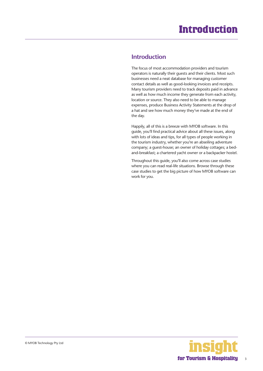### <span id="page-2-0"></span>**Introduction**

The focus of most accommodation providers and tourism operators is naturally their guests and their clients. Most such businesses need a neat database for managing customer contact details as well as good-looking invoices and receipts. Many tourism providers need to track deposits paid in advance as well as how much income they generate from each activity, location or source. They also need to be able to manage expenses, produce Business Activity Statements at the drop of a hat and see how much money they've made at the end of the day.

Happily, all of this is a breeze with MYOB software. In this guide, you'll find practical advice about all these issues, along with lots of ideas and tips, for all types of people working in the tourism industry, whether you're an abseiling adventure company; a guest-house; an owner of holiday cottages; a bedand-breakfast; a chartered yacht owner or a backpacker hostel.

Throughout this guide, you'll also come across case studies where you can read real-life situations. Browse through these case studies to get the big picture of how MYOB software can work for you.

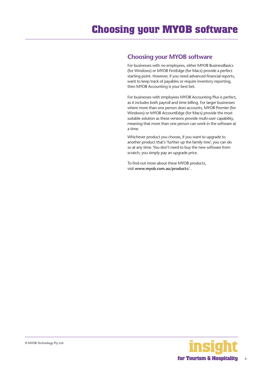### <span id="page-3-0"></span>**Choosing your MYOB software**

For businesses with no employees, either MYOB BusinessBasics (for Windows) or MYOB FirstEdge (for Macs) provide a perfect starting point. However, if you need advanced financial reports, want to keep track of payables or require inventory reporting, then MYOB Accounting is your best bet.

For businesses with employees MYOB Accounting Plus is perfect, as it includes both payroll and time billing. For larger businesses where more than one person does accounts, MYOB Premier (for Windows) or MYOB AccountEdge (for Macs) provide the most suitable solution as these versions provide multi-user capability, meaning that more than one person can work in the software at a time.

Whichever product you choose, if you want to upgrade to another product that's 'further up the family tree', you can do so at any time. You don't need to buy the new software from scratch; you simply pay an upgrade price.

To find out more about these MYOB products, visit **www.myob.com.au/products/** .

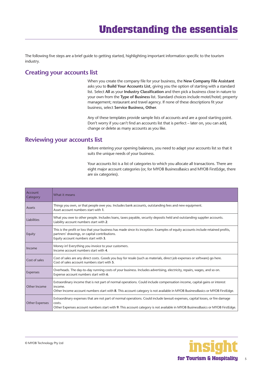<span id="page-4-0"></span>The following five steps are a brief guide to getting started, highlighting important information specific to the tourism industry.

# **Creating your accounts list**

When you create the company file for your business, the **New Company File Assistant**  asks you to **Build Your Accounts List**, giving you the option of starting with a standard list. Select **All** as your **Industry Classification** and then pick a business close in nature to your own from the **Type of Business** list. Standard choices include motel/hotel; property management; restaurant and travel agency. If none of these descriptions fit your business, select **Service Business, Other**.

Any of these templates provide sample lists of accounts and are a good starting point. Don't worry if you can't find an accounts list that is perfect – later on, you can add, change or delete as many accounts as you like.

#### **Reviewing your accounts list**

Before entering your opening balances, you need to adapt your accounts list so that it suits the unique needs of your business.

Your accounts list is a list of categories to which you allocate all transactions. There are eight major account categories (or, for MYOB BusinessBasics and MYOB FirstEdge, there are six categories).

| Account<br>Category   | What it means                                                                                                                                                                                                                                                            |
|-----------------------|--------------------------------------------------------------------------------------------------------------------------------------------------------------------------------------------------------------------------------------------------------------------------|
| Assets                | Things you own, or that people owe you. Includes bank accounts, outstanding fees and new equipment.<br>Asset account numbers start with 1.                                                                                                                               |
| Liabilities           | What you owe to other people. Includes loans, taxes payable, security deposits held and outstanding supplier accounts.<br>Liability account numbers start with 2.                                                                                                        |
| Equity                | This is the profit or loss that your business has made since its inception. Examples of equity accounts include retained profits,<br>partners' drawings, or capital contributions.<br>Equity account numbers start with 3.                                               |
| Income                | Money in! Everything you invoice to your customers.<br>Income account numbers start with 4.                                                                                                                                                                              |
| Cost of sales         | Cost of sales are any direct costs. Goods you buy for resale (such as materials, direct job expenses or software) go here.<br>Cost of sales account numbers start with 5.                                                                                                |
| <b>Expenses</b>       | Overheads. The day-to-day running costs of your business. Includes advertising, electricity, repairs, wages, and so on.<br>Expense account numbers start with 6.                                                                                                         |
| Other Income          | Extraordinary income that is not part of normal operations. Could include compensation income, capital gains or interest<br>income.<br>Other Income account numbers start with 8. This account category is not available in MYOB BusinessBasics or MYOB FirstEdge.       |
| <b>Other Expenses</b> | Extraordinary expenses that are not part of normal operations. Could include lawsuit expenses, capital losses, or fire damage<br>costs.<br>Other Expenses account numbers start with 9. This account category is not available in MYOB BusinessBasics or MYOB FirstEdge. |

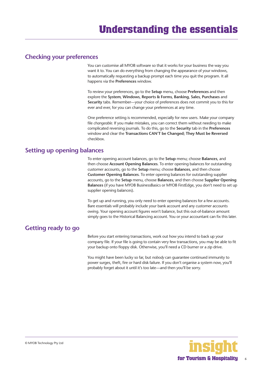#### <span id="page-5-0"></span>**Checking your preferences**

You can customise all MYOB software so that it works for your business the way you want it to. You can do everything from changing the appearance of your windows, to automatically requesting a backup prompt each time you quit the program. It all happens via the **Preferences** window.

To review your preferences, go to the **Setup** menu, choose **Preferences** and then explore the **System**, **Windows**, **Reports & Forms**, **Banking**, **Sales**, **Purchases** and **Security** tabs. Remember—your choice of preferences does not commit you to this for ever and ever, for you can change your preferences at any time.

One preference setting is recommended, especially for new users. Make your company file *changeable*. If you make mistakes, you can correct them without needing to make complicated reversing journals. To do this, go to the **Security** tab in the **Preferences**  window and clear the **Transactions CAN'T be Changed; They Must be Reversed**  checkbox.

#### **Setting up opening balances**

To enter opening account balances, go to the **Setup** menu; choose **Balances**, and then choose **Account Opening Balances**. To enter opening balances for outstanding customer accounts, go to the **Setup** menu; choose **Balances**, and then choose **Customer Opening Balances**. To enter opening balances for outstanding supplier accounts, go to the **Setup** menu, choose **Balances**, and then choose **Supplier Opening Balances** (if you have MYOB BusinessBasics or MYOB FirstEdge, you don't need to set up supplier opening balances).

To get up and running, you only need to enter opening balances for a few accounts. Bare essentials will probably include your bank account and any customer accounts owing. Your opening account figures won't balance, but this out-of-balance amount simply goes to the Historical Balancing account. You or your accountant can fix this later.

#### **Getting ready to go**

Before you start entering transactions, work out how you intend to back up your company file. If your file is going to contain very few transactions, you may be able to fit your backup onto floppy disk. Otherwise, you'll need a CD burner or a zip drive.

You might have been lucky so far, but *nobody* can guarantee continued immunity to power surges, theft, fire or hard disk failure. If you don't organise a system now, you'll probably forget about it until it's too late—and then you'll be sorry.

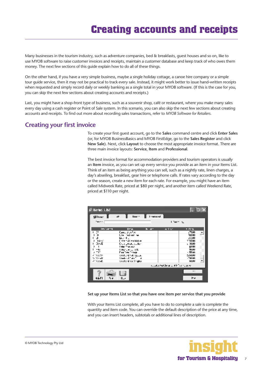# **Creating accounts and receipts**

<span id="page-6-0"></span>Many businesses in the tourism industry, such as adventure companies, bed & breakfasts, guest houses and so on, like to use MYOB software to raise customer invoices and receipts, maintain a customer database and keep track of who owes them money. The next few sections of this guide explain how to do all of these things.

On the other hand, if you have a very simple business, maybe a single holiday cottage, a canoe hire company or a simple tour guide service, then it may not be practical to track every sale. Instead, it might work better to issue hand-written receipts when requested and simply record daily or weekly banking as a single total in your MYOB software. (If this is the case for you, you can skip the next few sections about creating accounts and receipts.)

Last, you might have a shop-front type of business, such as a souvenir shop, café or restaurant, where you make many sales every day using a cash register or Point of Sale system. In this scenario, you can also skip the next few sections about creating accounts and receipts. To find out more about recording sales transactions, refer to *MYOB Software for Retailers*.

#### **Creating your first invoice**

To create your first guest account, go to the **Sales** command centre and click **Enter Sales**  (or, for MYOB BusinessBasics and MYOB FirstEdge, go to the **Sales Register** and click **New Sale**). Next, click **Layout** to choose the most appropriate invoice format. There are three main invoice layouts: **Service**, **Item** and **Professional**.

The best invoice format for accommodation providers and tourism operators is usually an **Item** invoice, as you can set up every service you provide as an item in your Items List. Think of an item as being anything you can sell, such as a nightly rate, linen charges, a day's abseiling, breakfast, gear hire or telephone calls. If rates vary according to the day or the season, create a new item for each rate. For example, you might have an item called Midweek Rate, priced at \$80 per night, and another item called Weekend Rate, priced at \$110 per night.

| <b>Fitens List</b>                                                                                            |                                                                                                                                                                                                                       |                   |                                         | L ⊡ X                                                                                                       |
|---------------------------------------------------------------------------------------------------------------|-----------------------------------------------------------------------------------------------------------------------------------------------------------------------------------------------------------------------|-------------------|-----------------------------------------|-------------------------------------------------------------------------------------------------------------|
| Alltone III<br>Tex + +                                                                                        | Hour of<br>œ.                                                                                                                                                                                                         | <b>Linkson ad</b> | Libert Ro                               |                                                                                                             |
| <b>Including</b>                                                                                              | <b>Hank</b>                                                                                                                                                                                                           | in art            | Arl Mr.                                 | * 15 %                                                                                                      |
| : 3<br>ř<br>ш<br>Ł<br>Ŷ.<br>h.Loui<br>≕ INGE<br>,<br>$= - +$<br>s mo<br>2. Mar Ser<br>to Maratti<br>A forest. | Caro Junior<br>law red out wo<br>lichte.<br>Lost told av Holly.<br>County And Location<br>I der men oca<br>Literature of the<br>Daily Travel<br>word and hold space.<br>Wood - al Tara Tinna<br>weekend voor 3 nghet. |                   |                                         | :7500<br>۰<br>331111<br>:1200<br>тишн<br>:3000<br>111111<br><b>TAULU</b><br>・感節<br>52,000<br>-3000<br>40000 |
|                                                                                                               |                                                                                                                                                                                                                       |                   | roughs that lives on this five roughly. |                                                                                                             |
| ⊀trFl<br>94                                                                                                   | مساا                                                                                                                                                                                                                  |                   |                                         | $\ddot{\phantom{1}}$<br><b>ru</b>                                                                           |

#### **Set up your Items List so that you have one item per service that you provide**

With your Items List complete, all you have to do to complete a sale is complete the quantity and item code. You can override the default description of the price at any time, and you can insert headers, subtotals or additional lines of description.

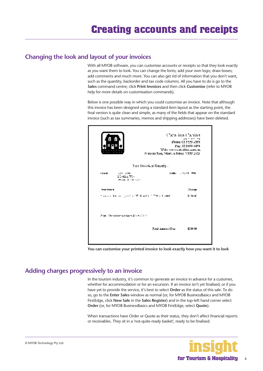### <span id="page-7-0"></span>**Changing the look and layout of your invoices**

With all MYOB software, you can customise accounts or receipts so that they look exactly as you want them to look. You can change the fonts; add your own logo; draw boxes; add comments and much more. You can also get rid of information that you don't want, such as the quantity, backorder and tax code columns. All you have to do is go to the **Sales** command centre; click **Print Invoices** and then click **Customise** (refer to MYOB help for more details on customisation commands).

Below is one possible way in which you could customise an invoice. Note that although this invoice has been designed using a standard item layout as the starting point, the final version is quite clean and simple, as many of the fields that appear on the standard invoice (such as tax summaries, memos and shipping addresses) have been deleted.

|                                                                                              | Catalina Canina<br>an migyer iya<br>Phone: 02.5155-3555<br>Fax: 02 9598 9598<br>Web, www.catedons.com.ac<br>Stingeng Tuin, Pflume to Pilster, NSW 2121 |
|----------------------------------------------------------------------------------------------|--------------------------------------------------------------------------------------------------------------------------------------------------------|
|                                                                                              | Tax Invoice/Receipt                                                                                                                                    |
| <b>Financ</b><br><b>ALCOHOL: CONTRA</b><br>$20 - 100.75$<br>Jewelry, Birtham Adam            | Larber<br>计空间电子 细胞                                                                                                                                     |
| <b>INCTINITY</b>                                                                             | Ohangs                                                                                                                                                 |
| the contract of the contract of the contract of the contract winds                           | kaan in                                                                                                                                                |
| $N$ and $\gamma$ the convenience of the set $\mathcal{M}$ and $\mathcal{M}$ is $\mathcal{N}$ |                                                                                                                                                        |
|                                                                                              | <b>Taish Agricult Page</b><br>1230.00                                                                                                                  |
|                                                                                              |                                                                                                                                                        |

**You can customise your printed invoice to look exactly how you want it to look**

# **Adding charges progressively to an invoice**

In the tourism industry, it's common to generate an invoice in advance for a customer, whether for accommodation or for an excursion. If an invoice isn't yet finalised, or if you have yet to provide the service, it's best to select **Order** as the status of this sale. To do so, go to the **Enter Sales** window as normal (or, for MYOB BusinessBasics and MYOB FirstEdge, click **New Sale** in the **Sales Register**) and in the top-left hand corner select **Order** (or, for MYOB BusinessBasics and MYOB FirstEdge, select **Quote**).

When transactions have Order or Quote as their status, they don't affect financial reports or receivables. They sit in a 'not-quite-ready basket', ready to be finalised.

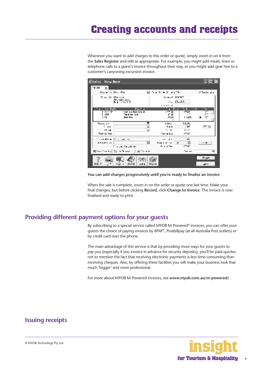<span id="page-8-0"></span>Whenever you want to add charges to this order or quote, simply zoom in on it from the **Sales Register** and edit as appropriate. For example, you might add meals, linen or telephone calls to a guest's invoice throughout their stay, or you might add gear hire to a customer's canyoning excursion invoice.

| #Sales New Item                        |                                            |                                    |                               |                        |
|----------------------------------------|--------------------------------------------|------------------------------------|-------------------------------|------------------------|
| TRUPR.<br>THE U                        |                                            |                                    |                               |                        |
| General Production                     |                                            | 同じかん かりあげ おんごと                     |                               | <b>IZ Taylor sites</b> |
| 计可可同 机铝铁矿                              |                                            | te Asit months                     |                               |                        |
|                                        | 14 - Make Lager<br>Raylin Amik Cr          |                                    | ALL STUDIO                    |                        |
|                                        |                                            | $1.1.1 - 1.0$                      |                               |                        |
| $I - H = I -$<br>$\mathbf{u}$<br>计多字字符 | Profile<br><b>Sove and Day Cost M</b>      | s ver Mi                           | The Dead Cold County<br>-2500 | ۰.<br>---              |
| , om<br>LDL.                           | Takah menand<br><b>JERT HILL</b>           | 47 YO<br>.n.xi                     | $\cdots$<br>اعدا              | ---<br>---             |
|                                        |                                            |                                    |                               |                        |
| Status Art<br>Termine                  |                                            | Ellian.<br>医鼻痛气                    | 5206.<br>$+50^{\circ}$        | <b>TEM 11</b>          |
| <b>SI 106</b>                          |                                            | L.<br>7. m                         | <b>FUCT</b>                   |                        |
| Dancer Bay                             |                                            | They cannot                        | ሥንበግ                          |                        |
|                                        | a moderne (Neglicke, 200                   | .                                  | $-111$                        |                        |
| <b>Kita d'o los</b>                    |                                            | ы<br><b>Property State And Adv</b> |                               | $\overline{a}$         |
|                                        | File case function for                     | <b>London</b>                      | -2267                         |                        |
|                                        | 00 (see Feath) (20 See Feath) - 「黒 Feather |                                    | Tae an                        | ᅱ                      |
|                                        |                                            |                                    |                               | <b>H</b> egal          |
| $\mathbf{H}$<br>II: E 1                | 불자표의<br>Mari K<br>-454                     | ll:sia                             |                               | $-20.00$               |

**You can add charges progressively until you're ready to finalise an invoice** 

When the sale is complete, zoom in on the order or quote one last time. Make your final changes, but before clicking **Record**, click **Change to Invoice**. The invoice is now finalised and ready to print.

#### **Providing different payment options for your guests**

By subscribing to a special service called MYOB M-Powered® invoices, you can offer your guests the choice of paying invoices by BPAY®, Postbillpay (at all Australia Post outlets) or by credit card over the phone.

The main advantage of this service is that by providing more ways for your guests to pay you (especially if you invoice in advance for security deposits), you'll be paid quicker, not to mention the fact that receiving electronic payments is less time-consuming than receiving cheques. Also, by offering these facilities you will make your business look that much 'bigger' and more professional.

For more about MYOB M-Powered invoices, see **www.myob.com.au/m-powered/** .

#### **Issuing receipts**



9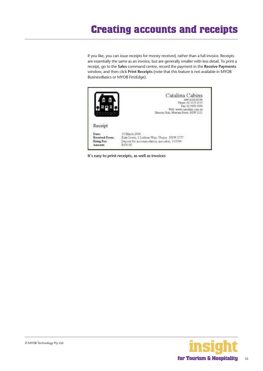# <span id="page-9-0"></span>**Creating accounts and receipts**

If you like, you can issue receipts for money received, rather than a full invoice. Receipts are essentially the same as an invoice, but are generally smaller with less detail. To print a receipt, go to the **Sales** command centre, record the payment in the **Receive Payments**  window, and then click **Print Receipts** (note that this feature is not available in MYOB BusinessBasics or MYOB FirstEdge).



**It's easy to print receipts, as well as invoices**

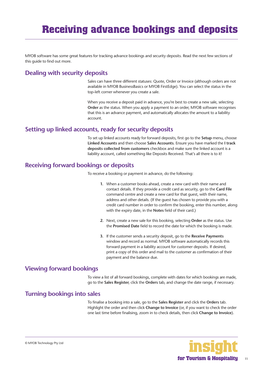<span id="page-10-0"></span>MYOB software has some great features for tracking advance bookings and security deposits. Read the next few sections of this guide to find out more.

### **Dealing with security deposits**

Sales can have three different statuses: Quote, Order or Invoice (although orders are not available in MYOB BusinessBasics or MYOB FirstEdge). You can select the status in the top-left corner whenever you create a sale.

When you receive a deposit paid in advance, you're best to create a new sale, selecting **Order** as the status. When you apply a payment to an order, MYOB software recognises that this is an advance payment, and automatically allocates the amount to a liability account.

#### **Setting up linked accounts, ready for security deposits**

To set up linked accounts ready for forward deposits, first go to the **Setup** menu**,** choose **Linked Accounts** and then choose **Sales Accounts**. Ensure you have marked the **I track deposits collected from customers** checkbox and make sure the linked account is a liability account, called something like Deposits Received. That's all there is to it!

#### **Receiving forward bookings or deposits**

To receive a booking or payment in advance, do the following:

- **1.** When a customer books ahead, create a new card with their name and contact details. If they provide a credit card as security, go to the **Card File**  command centre and create a new card for that guest, with their name, address and other details. (If the guest has chosen to provide you with a credit card number in order to confirm the booking, enter this number, along with the expiry date, in the **Notes** field of their card.)
- **2.** Next, create a new sale for this booking, selecting **Order** as the status. Use the **Promised Date** field to record the date for which the booking is made.
- **3.** If the customer sends a security deposit, go to the **Receive Payments**  window and record as normal. MYOB software automatically records this forward payment in a liability account for customer deposits. If desired, print a copy of this order and mail to the customer as confirmation of their payment and the balance due.

#### **Viewing forward bookings**

To view a list of all forward bookings, complete with dates for which bookings are made, go to the **Sales Register**, click the **Orders** tab, and change the date range, if necessary.

#### **Turning bookings into sales**

To finalise a booking into a sale, go to the **Sales Register** and click the **Orders** tab. Highlight the order and then click **Change to Invoice** (or, if you want to check the order one last time before finalising, zoom in to check details, then click **Change to Invoice**).

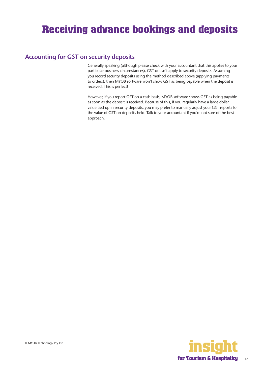# <span id="page-11-0"></span>**Accounting for GST on security deposits**

Generally speaking (although please check with your accountant that this applies to your particular business circumstances), GST doesn't apply to security deposits. Assuming you record security deposits using the method described above (applying payments to orders), then MYOB software won't show GST as being payable when the deposit is received. This is perfect!

However, if you report GST on a cash basis, MYOB software shows GST as being payable as soon as the deposit is received. Because of this, if you regularly have a large dollar value tied up in security deposits, you may prefer to manually adjust your GST reports for the value of GST on deposits held. Talk to your accountant if you're not sure of the best approach.

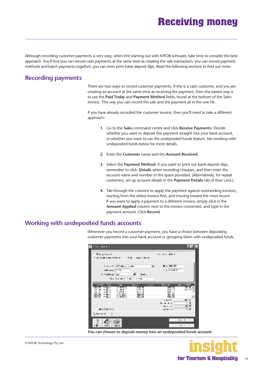# **Receiving money**

<span id="page-12-0"></span>Although recording customer payments is very easy, when first starting out with MYOB software, take time to consider the best approach. You'll find you can record cash payments at the same time as creating the sale transaction; you can record payment methods and batch payments together; you can even print bank deposit slips. Read the following sections to find out more.

# **Recording payments**

There are two ways to record customer payments. If this is a cash customer, and you are creating an account at the same time as receiving the payment, then the easiest way is to use the **Paid Today** and **Payment Method** fields, found at the bottom of the Sales invoice. This way you can record the sale and the payment all in the one hit.

If you have already recorded the customer invoice, then you'll need to take a different approach:

- **1.** Go to the **Sales** command centre and click **Receive Payments**. Decide whether you want to deposit this payment straight into your bank account, or whether you want to use the undeposited funds feature. See working with undeposited funds below for more details.
- **2.** Enter the **Customer** name and the **Amount Received**.
- **3.** Select the **Payment Method**. If you want to print out bank deposit slips, remember to click **Details** when recording cheques, and then enter the account name and number in the space provided. (Alternatively, for repeat customers, set up account details in the **Payment Details** tab of their card.)
- **4.** Tab through the columns to apply the payment against outstanding invoices, starting from the oldest invoice first, and moving toward the most recent. If you want to apply a payment to a different invoice, simply click in the **Amount Applied** column next to the invoice concerned, and type in the payment amount. Click **Record**.

# **Working with undeposited funds accounts**

Whenever you record a customer payment, you have a choice between depositing customer payments into your bank account or grouping them with undeposited funds.

| <b>Hannochenest</b>                                                                           |                                               |
|-----------------------------------------------------------------------------------------------|-----------------------------------------------|
| <b>C. Description of A</b>                                                                    | Kanada (partir                                |
| Silkers & Telephotoshop (1999), steps officed                                                 |                                               |
| Since a the IND Carloss Countries<br>ᅴ                                                        | Die Encock-                                   |
| n indika menu ∏2000                                                                           | $\epsilon$ is known.                          |
| %ill to⊲t⊥<br>Termonalitate Dance<br>- 1                                                      |                                               |
| Search wouldn't continue they                                                                 |                                               |
| and the<br><b>Service</b><br>k m<br>i aw                                                      | londar in<br><b>Carlo Children</b>            |
| 1200<br><b>P-0.11</b><br>----------<br>330.XX<br>1.99.7<br>$\overline{1+}$<br>5.16 19<br><br> | 1980 XI<br>жх<br>Kui 1<br>EW 1                |
| الانتقا<br>$\mathbf{I}$<br>前後の<br>SALES 1<br><br>251 JACKS<br>1254.00<br>Anders a             | 64 C<br>ies xi                                |
| 25,0000<br>i≌≫i<br><b>P-0611</b>                                                              | <b>PSG XX</b>                                 |
|                                                                                               | 11.11<br>Mar 21                               |
|                                                                                               | Frank data<br>$\cdot$ .<br>T/T                |
| die: Dekt Stat                                                                                | $4 - 1 - 1$<br>$\overline{ }$<br>and the con- |
| <b>Quite model</b>                                                                            |                                               |
|                                                                                               |                                               |
|                                                                                               | $\mathbf{r}$ . $\mathbf{r}$                   |
| 1:371<br>in B                                                                                 | $\cdot$ .                                     |
|                                                                                               |                                               |

**You can choose to deposit money into an undeposited funds account**



13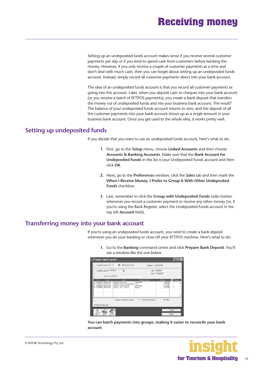# **Receiving money**

<span id="page-13-0"></span>Setting up an undeposited funds account makes sense if you receive several customer payments per day or if you tend to spend cash from customers before banking the money. However, if you only receive a couple of customer payments at a time and don't deal with much cash, then you can forget about setting up an undeposited funds account. Instead, simply record all customer payments direct into your bank account.

The idea of an undeposited funds account is that you record all customer payments as going into this account. Later, when you deposit cash or cheques into your bank account (or you receive a batch of EFTPOS payments), you create a bank deposit that transfers the money *out* of undeposited funds and *into* your business bank account. The result? The balance of your undeposited funds account returns to zero, and the deposit of all the customer payments into your bank account shows up as a single amount in your business bank account. Once you get used to the whole idea, it works pretty well.

#### **Setting up undeposited funds**

If you decide that you want to use an undeposited funds account, here's what to do:

- **1.** First, go to the **Setup** menu, choose **Linked Accounts** and then choose **Accounts & Banking Accounts**. Make sure that the **Bank Account for Undeposited Funds** in this list is your Undeposited Funds account and then click **OK**.
- **2.** Next, go to the **Preferences** window, click the **Sales** tab and then mark the **When I Receive Money, I Prefer to Group It With Other Undeposited Funds** checkbox.
- **3.** Last, remember to click the **Group with Undeposited Funds** radio button whenever you record a customer payment or receive any other money (or, if you're using the Bank Register, select the Undeposited Funds account in the top left **Account** field).

**1.** Go to the **Banking** command centre and click **Prepare Bank Deposit**. You'll

#### **Transferring money into your bank account**

If you're using an undeposited funds account, you need to create a bank deposit whenever you do your banking or close off your EFTPOS machine. Here's what to do:

see a window like the one below **ALVESIA** 0111 Supporter **B** *WEIGHT* Director (0.240) **DIE WOODE Parish by TV Kilkick** × **Very Tax For Baltima Elizabeth automatic** 4 Millions Around **FE WAN** 

**You can batch payments into groups, making it easier to reconcile your bank account**

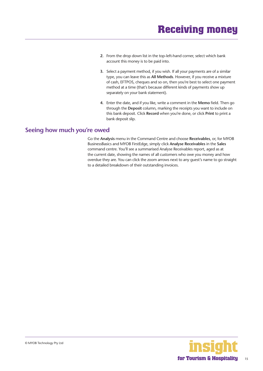- <span id="page-14-0"></span>**2.** From the drop down list in the top-left-hand corner, select which bank account this money is to be paid into.
- **3.** Select a payment method, if you wish. If all your payments are of a similar type, you can leave this as **All Methods**. However, if you receive a mixture of cash, EFTPOS, cheques and so on, then you're best to select one payment method at a time (that's because different kinds of payments show up separately on your bank statement).
- **4.** Enter the date, and if you like, write a comment in the **Memo** field. Then go through the **Deposit** column, marking the receipts you want to include on this bank deposit. Click **Record** when you're done, or click **Print** to print a bank deposit slip.

#### **Seeing how much you're owed**

Go the **Analysis** menu in the Command Centre and choose **Receivables**, or, for MYOB BusinessBasics and MYOB FirstEdge, simply click **Analyse Receivables** in the **Sales**  command centre. You'll see a summarised Analyse Receivables report, aged as at the current date, showing the names of all customers who owe you money and how overdue they are. You can click the zoom arrows next to any guest's name to go straight to a detailed breakdown of their outstanding invoices.

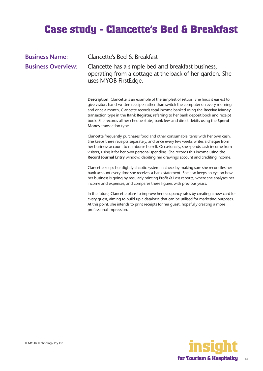# <span id="page-15-0"></span>**Case study - Clancette's Bed & Breakfast**

| <b>Business Name:</b>     | Clancette's Bed & Breakfast                                                                                                           |
|---------------------------|---------------------------------------------------------------------------------------------------------------------------------------|
| <b>Business Overview:</b> | Clancette has a simple bed and breakfast business,<br>operating from a cottage at the back of her garden. She<br>uses MYOB FirstEdge. |

**Description**: Clancette is an example of the simplest of setups. She finds it easiest to give visitors hand-written receipts rather than switch the computer on every morning and once a month, Clancette records total income banked using the **Receive Money**  transaction type in the **Bank Register**, referring to her bank deposit book and receipt book. She records all her cheque stubs, bank fees and direct debits using the **Spend Money** transaction type.

Clancette frequently purchases food and other consumable items with her own cash. She keeps these receipts separately, and once every few weeks writes a cheque from her business account to reimburse herself. Occasionally, she spends cash income from visitors, using it for her own personal spending. She records this income using the **Record Journal Entry** window, debiting her drawings account and crediting income.

Clancette keeps her slightly chaotic system in check by making sure she reconciles her bank account every time she receives a bank statement. She also keeps an eye on how her business is going by regularly printing Profit & Loss reports, where she analyses her income and expenses, and compares these figures with previous years.

In the future, Clancette plans to improve her occupancy rates by creating a new card for every guest, aiming to build up a database that can be utilised for marketing purposes. At this point, she intends to print receipts for her guest, hopefully creating a more professional impression.



16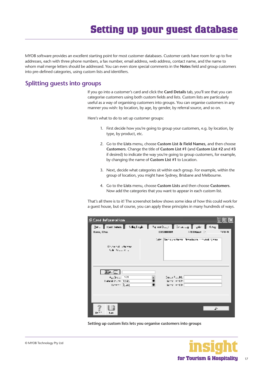# **Setting up your guest database**

<span id="page-16-0"></span>MYOB software provides an excellent starting point for most customer databases. Customer cards have room for up to five addresses, each with three phone numbers, a fax number, email address, web address, contact name, and the name to whom mail merge letters should be addressed. You can even store special comments in the **Notes** field and group customers into pre-defined categories, using custom lists and identifiers.

### **Splitting guests into groups**

If you go into a customer's card and click the **Card Details** tab, you'll see that you can categorise customers using both custom fields and lists. Custom lists are particularly useful as a way of organising customers into groups. You can organise customers in any manner you wish: by location, by age, by gender, by referral source, and so on.

Here's what to do to set up customer groups:

- 1. First decide how you're going to group your customers, e.g. by location, by type, by product, etc.
- 2. Go to the **Lists** menu, choose **Custom List & Field Names**, and then choose **Customers**. Change the title of **Custom List #1** (and **Custom List #2** and **#3** if desired) to indicate the way you're going to group customers, for example, by changing the name of **Custom List #1** to Location.
- 3. Next, decide what categories sit within each group. For example, within the group of location, you might have Sydney, Brisbane and Melbourne.
- 4. Go to the **Lists** menu, choose **Custom Lists** and then choose **Customers**. Now add the categories that you want to appear in each custom list.

That's all there is to it! The screenshot below shows some idea of how this could work for a guest house, but of course, you can apply these principles in many hundreds of ways.

| Card Information                                                            |                                              |                                                    |         |
|-----------------------------------------------------------------------------|----------------------------------------------|----------------------------------------------------|---------|
| But [ Dani Samuk ] Suffigurah ] Pay and Lay ] Decay ] gabe [ Hotel ]        |                                              |                                                    |         |
| Have, Che.                                                                  | следници                                     | A-10 Determined Co.                                | 5411-01 |
| December of Labor Hwy<br><b>Julie Massachus</b>                             |                                              | Solen Bernie Anthenne Berteilsche Einfangt spieler |         |
| 画画<br><b>ALGULAR</b><br>Listend Profit, St 145.<br><b>Terminal Equation</b> | Decent Call Plan<br>Denv (+12)<br>Deny (+10) |                                                    |         |
| r.n                                                                         |                                              | Æ.                                                 |         |

**Setting up custom lists lets you organise customers into groups**

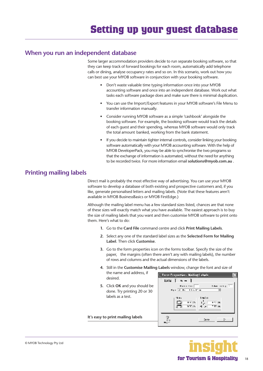### <span id="page-17-0"></span>**When you run an independent database**

Some larger accommodation providers decide to run separate booking software, so that they can keep track of forward bookings for each room, automatically add telephone calls or dining, analyse occupancy rates and so on. In this scenario, work out how you can best use your MYOB software in conjunction with your booking software.

- Don't waste valuable time typing information once into your MYOB accounting software and once into an independent database. Work out what tasks each software package does and make sure there is minimal duplication.
- You can use the Import/Export features in your MYOB software's File Menu to transfer information manually.
- Consider running MYOB software as a simple 'cashbook' alongside the booking software. For example, the booking software would track the details of each guest and their spending, whereas MYOB software would only track the total amount banked, working from the bank statement.
- If you decide to maintain tighter internal controls, consider linking your booking software automatically with your MYOB accounting software. With the help of MYOB DeveloperPack, you may be able to synchronise the two programs so that the exchange of information is automated, without the need for anything to be recorded twice. For more information email **solutions@myob.com.au** .

### **Printing mailing labels**

Direct mail is probably the most effective way of advertising. You can use your MYOB software to develop a database of both existing and prospective customers and, if you like, generate personalised letters and mailing labels. (Note that these features aren't available in MYOB BusinessBasics or MYOB FirstEdge.)

Although the mailing label menu has a few standard sizes listed, chances are that none of these sizes will exactly match what you have available. The easiest approach is to buy the size of mailing labels that you want and then customise MYOB software to print onto them. Here's what to do:

- **1.** Go to the **Card File** command centre and click **Print Mailing Labels**.
- **2.** Select any one of the standard label sizes as the **Selected Form for Mailing Label**. Then click **Customise**.
- **3.** Go to the form properties icon on the forms toolbar. Specify the size of the paper, the margins (often there aren't any with mailing labels), the number of rows and columns and the actual dimensions of the labels.
- **4.** Still in the **Customise Mailing Labels** window, change the font and size of the name and address, if
- **5.** Click **OK** and you should be done. Try printing 20 or 30 labels as a test.

**It's easy to print mailing labels**

desired.



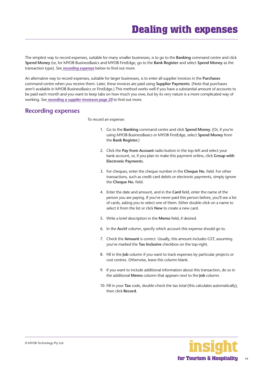<span id="page-18-0"></span>The simplest way to record expenses, suitable for many smaller businesses, is to go to the **Banking** command centre and click **Spend Money** (or, for MYOB BusinessBasics and MYOB FirstEdge, go to the **Bank Register** and select **Spend Money** as the transaction type). See *recording expenses* below to find out more.

An alternative way to record expenses, suitable for larger businesses, is to enter all supplier invoices in the **Purchases**  command centre when you receive them. Later, these invoices are paid using **Supplier Payments**. (Note that purchases aren't available in MYOB BusinessBasics or FirstEdge.) This method works well if you have a substantial amount of accounts to be paid each month and you want to keep tabs on how much you owe, but by its very nature is a more complicated way of working. See *[recording a supplier invoiceon page 20](#page-19-0)* to find out more.

#### **Recording expenses**

To record an expense:

- 1. Go to the **Banking** command centre and click **Spend Money**. (Or, if you're using MYOB BusinessBasics or MYOB FirstEdge, select **Spend Money** from the **Bank Register**.)
- 2. Click the **Pay from Account** radio button in the top-left and select your bank account, or, if you plan to make this payment online, click **Group with Electronic Payments**.
- 3. For cheques, enter the cheque number in the **Cheque No.** field. For other transactions, such as credit card debits or electronic payments, simply ignore the **Cheque No.** field.
- 4. Enter the date and amount, and in the **Card** field, enter the name of the person you are paying. If you've never paid this person before, you'll see a list of cards, asking you to select one of them. Either double-click on a name to select it from the list or click **New** to create a new card.
- 5. Write a brief description in the **Memo** field, if desired.
- 6. In the **Acct#** column, specify which account this expense should go to.
- 7. Check the **Amount** is correct. Usually, this amount includes GST, assuming you've marked the **Tax Inclusive** checkbox on the top-right.
- 8. Fill in the **Job** column if you want to track expenses by particular projects or cost centres. Otherwise, leave this column blank.
- 9. If you want to include additional information about this transaction, do so in the additional **Memo** column that appears next to the **Job** column.
- 10. Fill in your **Tax** code, double-check the tax total (this calculates automatically), then click **Record**.

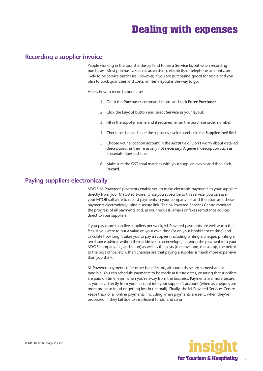#### <span id="page-19-0"></span>**Recording a supplier invoice**

People working in the tourist industry tend to use a **Service** layout when recording purchases. Most purchases, such as advertising, electricity or telephone accounts, are likely to be Service purchases. However, if you are purchasing goods for resale and you plan to track quantities and costs, an **Item** layout is the way to go.

Here's how to record a purchase:

- 1. Go to the **Purchases** command centre and click **Enter Purchases**.
- 2. Click the **Layout** button and select **Service** as your layout.
- 3. Fill in the supplier name and if required, enter the purchase order number.
- 4. Check the date and enter the supplier's invoice number in the **Supplier Inv#** field.
- 5. Choose your allocation account in the **Acct#** field. Don't worry about detailed descriptions, as they're usually not necessary. A general description such as 'materials' does just fine.
- 6. Make sure the GST total matches with your supplier invoice and then click **Record**.

#### **Paying suppliers electronically**

MYOB M-Powered® payments enable you to make electronic payments to your suppliers directly from your MYOB software. Once you subscribe to this service, you can use your MYOB software to record payments in your company file and then transmit these payments electronically using a secure link. The M-Powered Services Centre monitors the progress of all payments and, at your request, emails or faxes remittance advices direct to your suppliers.

If you pay more than five suppliers per week, M-Powered payments are well worth the fees. If you were to put a value on your own time (or on your bookkeeper's time) and calculate how long it takes you to pay a supplier (including writing a cheque, printing a remittance advice, writing their address on an envelope, entering the payment into your MYOB company file, and so on) as well as the costs (the envelope, the stamp, the petrol to the post office, etc.), then chances are that paying a supplier is much more expensive than you think.

M-Powered payments offer other benefits too, although these are somewhat less tangible. You can schedule payments to be made at future dates, ensuring that suppliers are paid on time, even when you're away from the business. Payments are more secure, as you pay directly from your account into your supplier's account (whereas cheques are more prone to fraud or getting lost in the mail). Finally, the M-Powered Services Centre keeps track of all online payments, including when payments are sent, when they're processed, if they fail due to insufficient funds, and so on.

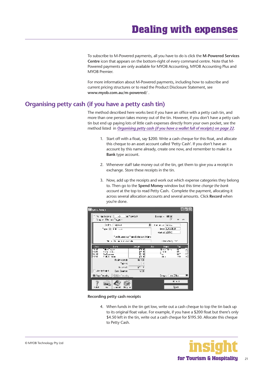<span id="page-20-0"></span>To subscribe to M-Powered payments, all you have to do is click the **M-Powered Services Centre** icon that appears on the bottom-right of every command centre. Note that M-Powered payments are only available for MYOB Accounting, MYOB Accounting Plus and MYOB Premier.

For more information about M-Powered payments, including how to subscribe and current pricing structures or to read the Product Disclosure Statement, see **www.myob.com.au/m-powered/** .

#### **Organising petty cash (if you have a petty cash tin)**

The method described here works best if you have an office with a petty cash tin, and more than one person takes money out of the tin. However, if you don't have a petty cash tin but end up paying lots of little cash expenses directly from your own pocket, see the method listed in *[Organising petty cash \(if you have a wallet full of receipts\)](#page-21-0) on page 22*.

- 1. Start off with a float, say \$200. Write a cash cheque for this float, and allocate this cheque to an asset account called 'Petty Cash'. If you don't have an account by this name already, create one now, and remember to make it a **Bank** type account.
- 2. Whenever staff take money out of the tin, get them to give you a receipt in exchange. Store these receipts in the tin.
- 3. Now, add up the receipts and work out which expense categories they belong to. Then go to the **Spend Money** window but this time *change the bank account* at the top to read Petty Cash**.** Complete the payment, allocating it across several allocation accounts and several amounts. Click **Record** when you're done.



**Recording petty cash receipts**

4. When funds in the tin get low, write out a cash cheque to top the tin back up to its original float value. For example, if you have a \$200 float but there's only \$4.50 left in the tin, write out a cash cheque for \$195.50. Allocate this cheque to Petty Cash.

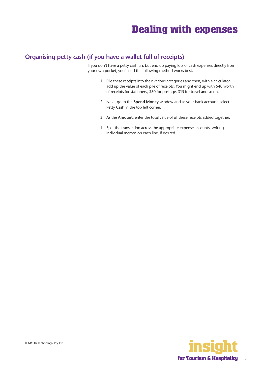# <span id="page-21-0"></span>**Organising petty cash (if you have a wallet full of receipts)**

If you don't have a petty cash tin, but end up paying lots of cash expenses directly from your own pocket, you'll find the following method works best.

- 1. Pile these receipts into their various categories and then, with a calculator, add up the value of each pile of receipts. You might end up with \$40 worth of receipts for stationery, \$50 for postage, \$15 for travel and so on.
- 2. Next, go to the **Spend Money** window and as your bank account, select Petty Cash in the top left corner.
- 3. As the **Amount**, enter the total value of all these receipts added together.
- 4. Split the transaction across the appropriate expense accounts, writing individual memos on each line, if desired.



22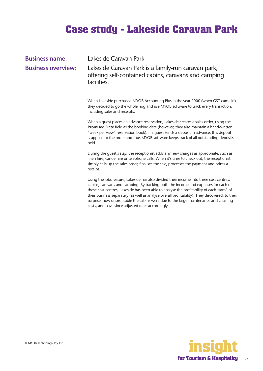# **Case study - Lakeside Caravan Park**

<span id="page-22-0"></span>

| <b>Business name:</b>     | Lakeside Caravan Park                                                                                                                                                                                                                                                                                                                                                     |
|---------------------------|---------------------------------------------------------------------------------------------------------------------------------------------------------------------------------------------------------------------------------------------------------------------------------------------------------------------------------------------------------------------------|
| <b>Business overview:</b> | Lakeside Caravan Park is a family-run caravan park,<br>offering self-contained cabins, caravans and camping<br>facilities.                                                                                                                                                                                                                                                |
|                           | When Lakeside purchased MYOB Accounting Plus in the year 2000 (when GST came in),<br>they decided to go the whole hog and use MYOB software to track every transaction,<br>including sales and receipts.                                                                                                                                                                  |
|                           | When a guest places an advance reservation, Lakeside creates a sales order, using the<br>Promised Date field as the booking date (however, they also maintain a hand-written<br>"week per view" reservation book). If a guest sends a deposit in advance, this deposit<br>is applied to the order and thus MYOB software keeps track of all outstanding deposits<br>held. |
|                           | During the guest's stay, the receptionist adds any new charges as appropriate, such as<br>linen hire, canoe hire or telephone calls. When it's time to check out, the receptionist<br>simply calls up the sales order, finalises the sale, processes the payment and prints a<br>receipt.                                                                                 |
|                           | Using the jobs feature, Lakeside has also divided their income into three cost centres:                                                                                                                                                                                                                                                                                   |

cabins, caravans and camping. By tracking both the income and expenses for each of these cost centres, Lakeside has been able to analyse the profitability of each "arm" of their business separately (as well as analyse overall profitability). They discovered, to their surprise, how unprofitable the cabins were due to the large maintenance and cleaning costs, and have since adjusted rates accordingly.

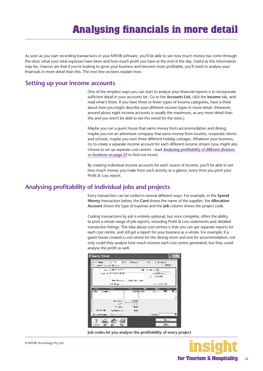# **Analysing financials in more detail**

<span id="page-23-0"></span>As soon as you start recording transactions in your MYOB software, you'll be able to see how much money has come through the door, what your total expenses have been and how much profit you have at the end of the day. Useful as this information may be, chances are that if you're looking to grow your business and become more profitable, you'll need to analyse your financials in more detail than this. The next few sections explain how.

#### **Setting up your income accounts**

One of the simplest ways you can start to analyse your financial reports is to incorporate sufficient detail in your accounts list. Go to the **Accounts List**, click the **Income** tab, and read what's there. If you have three or fewer types of income categories, have a think about how you might describe your different income types in more detail. (However, around about eight income accounts is usually the maximum, as any more detail than this and you won't be able to see the wood for the trees.)

Maybe you run a guest house that earns money from accommodation and dining; maybe you run an adventure company that earns money from tourists, corporate clients and schools; maybe you own three different holiday cottages. Whatever your business, try to create a separate income account for each different income stream (you might also choose to set up separate cost centres - read *[Analysing profitability of different divisions](#page-24-0)  [or locations](#page-24-0) on page 25* to find out more).

By creating individual income accounts for each source of income, you'll be able to see how much money you make from each activity at a glance, every time you print your Profit & Loss report.

#### **Analysing profitability of individual jobs and projects**

Every transaction can be coded in several different ways. For example, in the **Spend Money** transaction below, the **Card** shows the name of the supplier; the **Allocation Account** shows the type of expense and the **Job** column shows the project code.

Coding transactions by job is entirely optional, but once complete, offers the ability to print a whole range of job reports, including Profit & Loss statements and detailed transaction listings. The idea about cost centres is that you can get separate reports for each cost centre, and *still* get a report for your business as a whole. For example, if a guest house created a cost centre for the dining room and one for accommodation, not only could they analyse how much income each cost centre generated, but they could analyse the profit as well.



**Job codes let you analyse the profitability of every project**

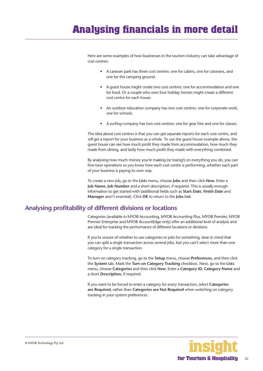<span id="page-24-0"></span>Here are some examples of how businesses in the tourism industry can take advantage of cost centres:

- A caravan park has three cost centres: one for cabins, one for caravans, and one for the camping ground.
- A guest house might create two cost centres: one for accommodation and one for food. Or a couple who own four holiday homes might create a different cost centre for each house.
- An outdoor education company has two cost centres: one for corporate work, one for schools.
- A surfing company has two cost centres: one for gear hire and one for classes.

The idea about cost centres is that you can get separate reports for each cost centre, and *still* get a report for your business as a whole. To use the quest house example above, the guest house can see how much profit they made from accommodation, how much they made from dining, and lastly how much profit they made with everything combined.

By analysing how much money you're making (or losing!) on everything you do, you can fine-tune operations so you know how each cost centre is performing, whether each part of your business is paying its own way.

To create a new job, go to the **Lists** menu, choose **Jobs** and then click **New**. Enter a **Job Name**, **Job Number** and a short description, if required. This is usually enough information to get started with (additional fields such as **Start Date**, **Finish Date** and **Manager** aren't essential). Click **OK** to return to the **Jobs List**.

#### **Analysing profitability of different divisions or locations**

Categories (available in MYOB Accounting, MYOB Accounting Plus, MYOB Premier, MYOB Premier Enterprise and MYOB AccountEdge only) offer an additional level of analysis and are ideal for tracking the performance of different locations or divisions.

If you're unsure of whether to use categories or jobs for something, bear in mind that you can split a single transaction across several jobs, but you can't select more than one category for a single transaction.

To turn on category tracking, go to the **Setup** menu, choose **Preferences**, and then click the **System** tab. Mark the **Turn on Category Tracking** checkbox. Next, go to the **Lists**  menu, choose **Categories** and then click **New**. Enter a **Category ID**, **Category Name** and a short **Description**, if required.

If you want to be forced to enter a category for every transaction, select **Categories are Required**, rather than **Categories are Not Required** when switching on category tracking in your system preferences.

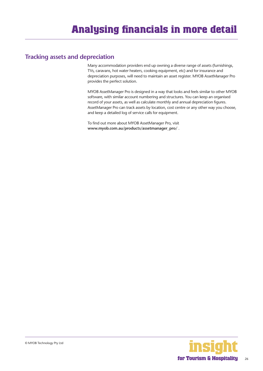### <span id="page-25-0"></span>**Tracking assets and depreciation**

Many accommodation providers end up owning a diverse range of assets (furnishings, TVs, caravans, hot water heaters, cooking equipment, etc) and for insurance and depreciation purposes, will need to maintain an asset register. MYOB AssetManager Pro provides the perfect solution.

MYOB AssetManager Pro is designed in a way that looks and feels similar to other MYOB software, with similar account numbering and structures. You can keep an organised record of your assets, as well as calculate monthly and annual depreciation figures. AssetManager Pro can track assets by location, cost centre or any other way you choose, and keep a detailed log of service calls for equipment.

To find out more about MYOB AssetManager Pro, visit **www.myob.com.au/products/assetmanager\_pro/** .

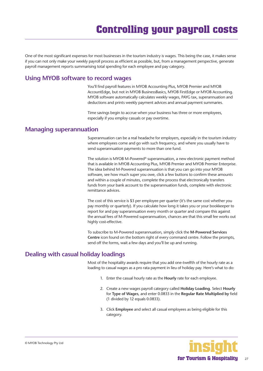<span id="page-26-0"></span>One of the most significant expenses for most businesses in the tourism industry is wages. This being the case, it makes sense if you can not only make your weekly payroll process as efficient as possible, but, from a management perspective, generate payroll management reports summarising total spending for each employee and pay category.

#### **Using MYOB software to record wages**

You'll find payroll features in MYOB Accounting Plus, MYOB Premier and MYOB AccountEdge, but not in MYOB BusinessBasics, MYOB FirstEdge or MYOB Accounting. MYOB software automatically calculates weekly wages, PAYG tax, superannuation and deductions and prints weekly payment advices and annual payment summaries.

Time savings begin to accrue when your business has three or more employees, especially if you employ casuals or pay overtime.

#### **Managing superannuation**

Superannuation can be a real headache for employers, especially in the tourism industry where employees come and go with such frequency, and where you usually have to send superannuation payments to more than one fund.

The solution is MYOB M-Powered® superannuation, a new electronic payment method that is available in MYOB Accounting Plus, MYOB Premier and MYOB Premier Enterprise. The idea behind M-Powered superannuation is that you can go into your MYOB software, see how much super you owe, click a few buttons to confirm these amounts and within a couple of minutes, complete the process that electronically transfers funds from your bank account to the superannuation funds, complete with electronic remittance advices.

The cost of this service is \$3 per employee per quarter (it's the same cost whether you pay monthly or quarterly). If you calculate how long it takes you or your bookkeeper to report for and pay superannuation every month or quarter and compare this against the annual fees of M-Powered superannuation, chances are that this small fee works out highly cost-effective.

To subscribe to M-Powered superannuation, simply click the **M-Powered Services Centre** icon found on the bottom right of every command centre. Follow the prompts, send off the forms, wait a few days and you'll be up and running.

# **Dealing with casual holiday loadings**

Most of the hospitality awards require that you add one-twelfth of the hourly rate as a loading to casual wages as a pro rata payment in lieu of holiday pay. Here's what to do:

- 1. Enter the casual hourly rate as the **Hourly** rate for each employee.
- 2. Create a new wages payroll category called **Holiday Loading**. Select **Hourly**  for **Type of Wages**, and enter 0.0833 in the **Regular Rate Multiplied by** field (1 divided by 12 equals 0.0833).
- 3. Click **Employee** and select all casual employees as being eligible for this category.

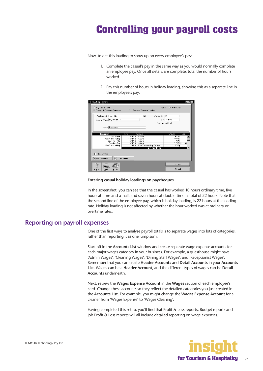<span id="page-27-0"></span>Now, to get this loading to show up on every employee's pay:

- 1. Complete the casual's pay in the same way as you would normally complete an employee pay. Once all details are complete, total the number of hours worked.
- 2. Pay this number of hours in holiday loading, showing this as a separate line in the employee's pay.

| <u>i Bashiqi iyo m</u>                                                                       |                                                 | $-1$                         |
|----------------------------------------------------------------------------------------------|-------------------------------------------------|------------------------------|
| Organization<br>20 Designs the Constant Company of the Constant Constant Company of Analysis |                                                 | CLIP > 641-74                |
| Pepleton A. J. And Mr.<br>Superficial Incomers                                               |                                                 | Computer 12<br>1.414         |
|                                                                                              |                                                 | Selling address              |
| rens Tacione                                                                                 |                                                 |                              |
| <b>Desaio or</b><br><b>The Lane</b>                                                          | <b>IF.1</b><br><b>SCIELE</b><br><b>SCPA SWH</b> | $\sim$<br>stelle.<br><b></b> |
| Teach Milledon,                                                                              | mann i swa                                      | 1.5                          |
| And the State<br>Terra Sil                                                                   | <b>CALL AT A Service</b><br><b>SAMA SWA</b>     | • ≍<br>1.771                 |
| <b>Definition of the American</b>                                                            | 115.0 Block over the States                     | 1000<br><b>.</b>             |
| i de comunica                                                                                |                                                 |                              |
| <b>CONTRACTOR</b><br>(C) Six Financi                                                         |                                                 |                              |
|                                                                                              |                                                 | - u                          |
|                                                                                              |                                                 | Drived.                      |

#### **Entering casual holiday loadings on paycheques**

In the screenshot, you can see that the casual has worked 10 hours ordinary time, five hours at time-and-a-half, and seven hours at double-time: a total of 22 hours. Note that the second line of the employee pay, which is holiday loading, is 22 hours at the loading rate. Holiday loading is not affected by whether the hour worked was at ordinary or overtime rates.

#### **Reporting on payroll expenses**

One of the first ways to analyse payroll totals is to separate wages into lots of categories, rather than reporting it as one lump sum.

Start off in the **Accounts List** window and create separate wage expense accounts for each major wages category in your business. For example, a guesthouse might have 'Admin Wages', 'Cleaning Wages', 'Dining Staff Wages', and 'Receptionist Wages'. Remember that you can create **Header Accounts** and **Detail Accounts** in your **Accounts List**. Wages can be a **Header Account**, and the different types of wages can be **Detail Accounts** underneath.

Next, review the **Wages Expense Account** in the **Wages** section of each employee's card. Change these accounts so they reflect the detailed categories you just created in the **Accounts List**. For example, you might change the **Wages Expense Account** for a cleaner from 'Wages Expense' to 'Wages Cleaning'.

Having completed this setup, you'll find that Profit & Loss reports, Budget reports and Job Profit & Loss reports will all include detailed reporting on wage expenses.

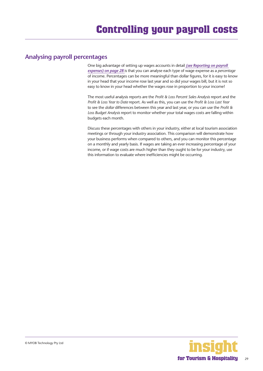#### <span id="page-28-0"></span>**Analysing payroll percentages**

One big advantage of setting up wages accounts in detail *[\(see Reporting on payroll](#page-27-0)  [expenses\) on page 28](#page-27-0)* is that you can analyse each type of wage expense as a *percentage*  of income. Percentages can be more meaningful than dollar figures, for it is easy to know in your head that your income rose last year and so did your wages bill, but it is not so easy to know in your head whether the wages rose in proportion to your income!

The most useful analysis reports are the *Profit & Loss Percent Sales Analysis* report and the *Profit & Loss Year to Date* report. As well as this, you can use the *Profit & Loss Last Year*  to see the *dollar* differences between this year and last year, or you can use the *Profit & Loss Budget Analysis* report to monitor whether your total wages costs are falling within budgets each month.

Discuss these percentages with others in your industry, either at local tourism association meetings or through your industry association. This comparison will demonstrate how your business performs when compared to others, and you can monitor this percentage on a monthly and yearly basis. If wages are taking an ever increasing percentage of your income, or if wage costs are much higher than they ought to be for your industry, use this information to evaluate where inefficiencies might be occurring.

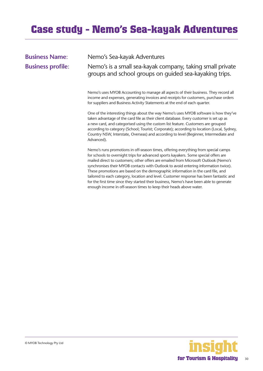# <span id="page-29-0"></span>**Case study - Nemo's Sea-kayak Adventures**

**Business Name**: Nemo's Sea-kayak Adventures

**Business profile**: Nemo's is a small sea-kayak company, taking small private groups and school groups on guided sea-kayaking trips.

> Nemo's uses MYOB Accounting to manage all aspects of their business. They record all income and expenses, generating invoices and receipts for customers, purchase orders for suppliers and Business Activity Statements at the end of each quarter.

One of the interesting things about the way Nemo's uses MYOB software is how they've taken advantage of the card file as their client database. Every customer is set up as a new card, and categorised using the custom list feature. Customers are grouped according to category (School; Tourist; Corporate); according to location (Local, Sydney, Country NSW, Interstate, Overseas) and according to level (Beginner, Intermediate and Advanced).

Nemo's runs promotions in off-season times, offering everything from special camps for schools to overnight trips for advanced sports kayakers. Some special offers are mailed direct to customers; other offers are emailed from Microsoft Outlook (Nemo's synchronises their MYOB contacts with Outlook to avoid entering information twice). These promotions are based on the demographic information in the card file, and tailored to each category, location and level. Customer response has been fantastic and for the first time since they started their business, Nemo's have been able to generate enough income in off-season times to keep their heads above water.

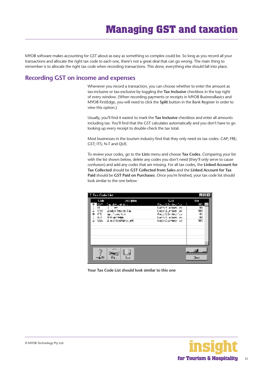<span id="page-30-0"></span>MYOB software makes accounting for GST about as easy as something so complex could be. So long as you record all your transactions and allocate the right tax code to each one, there's not a great deal that can go wrong. The main thing to remember is to allocate the right tax code when recording transactions. This done, everything else should fall into place.

# **Recording GST on income and expenses**

Whenever you record a transaction, you can choose whether to enter the amount as tax-inclusive or tax-exclusive by toggling the **Tax Inclusive** checkbox in the top right of every window. (When recording payments or receipts in MYOB BusinessBasics and MYOB FirstEdge, you will need to click the **Split** button in the Bank Register in order to view this option.)

Usually, you'll find it easiest to mark the **Tax Inclusive** checkbox and enter all amounts including tax. You'll find that the GST calculates automatically and you don't have to go looking up every receipt to double-check the tax total.

Most businesses in the tourism industry find that they only need six tax codes: CAP; FRE; GST; ITS; N-T and QUE.

To review your codes, go to the **Lists** menu and choose **Tax Codes**. Comparing your list with the list shown below, delete any codes you don't need (they'll only serve to cause confusion) and add any codes that are missing. For all tax codes, the **Linked Account for Tax Collected** should be **GST Collected from Sales** and the **Linked Account for Tax Paid** should be **GST Paid on Purchases**. Once you're finished, your tax code list should look similar to the one below:

| Tax Code List                                         |                                                                                                                       |                                                                                                                           |                                      |
|-------------------------------------------------------|-----------------------------------------------------------------------------------------------------------------------|---------------------------------------------------------------------------------------------------------------------------|--------------------------------------|
| Lode<br><b>CRP</b><br>"<br>÷<br>U91<br>⇒<br>ITS.<br>÷ | urescription.<br>the subject of the st<br>y.<br>Special Services Tax<br>ngu Juan Sum<br><b>INTERNATIONAL PROPERTY</b> | وورا<br><b>Gould Edit views Tue</b><br>Locals Anterior as<br>toda Sletmen ed<br>Goulo E Bendeur Tuel<br>Local Anterior as | P.<br>10%<br>IV.<br>107<br>0%<br>IV. |
| ≑ tu∍                                                 | 3. ende foon? kinds, gelf                                                                                             | Update Clearance Have                                                                                                     | w:                                   |
| −do Fl                                                | Fi.<br>مررا"                                                                                                          |                                                                                                                           | <b>Close</b>                         |

**Your Tax Code List should look similar to this one**

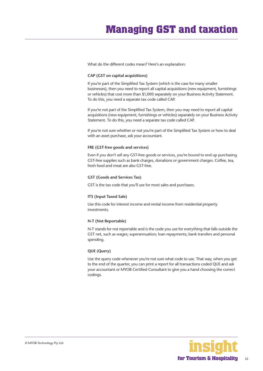What do the different codes mean? Here's an explanation:

#### **CAP (GST on capital acquisitions)**

If you're part of the Simplified Tax System (which is the case for many smaller businesses), then you need to report all capital acquisitions (new equipment, furnishings or vehicles) that cost more than \$1,000 separately on your Business Activity Statement. To do this, you need a separate tax code called CAP.

If you're not part of the Simplified Tax System, then you may need to report all capital acquisitions (new equipment, furnishings or vehicles) separately on your Business Activity Statement. To do this, you need a separate tax code called CAP.

If you're not sure whether or not you're part of the Simplified Tax System or how to deal with an asset purchase, ask your accountant.

#### **FRE (GST-free goods and services)**

Even if you don't sell any GST-free goods or services, you're bound to end up purchasing GST-free supplies such as bank charges, donations or government charges. Coffee, tea, fresh food and meat are also GST-free.

#### **GST (Goods and Services Tax)**

GST is the tax code that you'll use for most sales and purchases.

#### **ITS (Input Taxed Sale)**

Use this code for interest income and rental income from residential property investments.

#### **N-T (Not Reportable)**

N-T stands for not reportable and is the code you use for everything that falls outside the GST net, such as wages; superannuation; loan repayments; bank transfers and personal spending.

#### **QUE (Query)**

Use the query code whenever you're not sure what code to use. That way, when you get to the end of the quarter, you can print a report for all transactions coded QUE and ask your accountant or MYOB Certified Consultant to give you a hand choosing the correct codings.

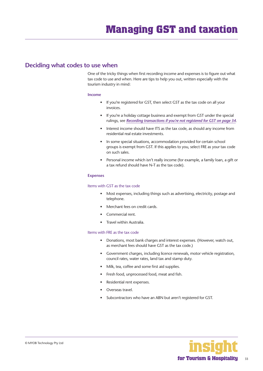#### <span id="page-32-0"></span>**Deciding what codes to use when**

One of the tricky things when first recording income and expenses is to figure out what tax code to use and when. Here are tips to help you out, written especially with the tourism industry in mind:

#### **Income**

- If you're registered for GST, then select GST as the tax code on all your invoices.
- If you're a holiday cottage business and exempt from GST under the special rulings, see *[Recording transactions if you're not registered for GST](#page-33-0) on page 34*.
- Interest income should have ITS as the tax code, as should any income from residential real estate investments.
- In some special situations, accommodation provided for certain school groups is exempt from GST. If this applies to you, select FRE as your tax code on such sales.
- Personal income which isn't really income (for example, a family loan, a gift or a tax refund should have N-T as the tax code).

#### **Expenses**

#### Items with GST as the tax code

- Most expenses, including things such as advertising, electricity, postage and telephone.
- Merchant fees on credit cards.
- Commercial rent.
- Travel within Australia.

#### Items with FRE as the tax code

- Donations, most bank charges and interest expenses. (However, watch out, as merchant fees should have GST as the tax code.)
- Government charges, including licence renewals, motor vehicle registration, council rates, water rates, land tax and stamp duty.
- Milk, tea, coffee and some first aid supplies.
- Fresh food, unprocessed food, meat and fish.
- Residential rent expenses.
- Overseas travel.
- Subcontractors who have an ABN but aren't registered for GST.



33